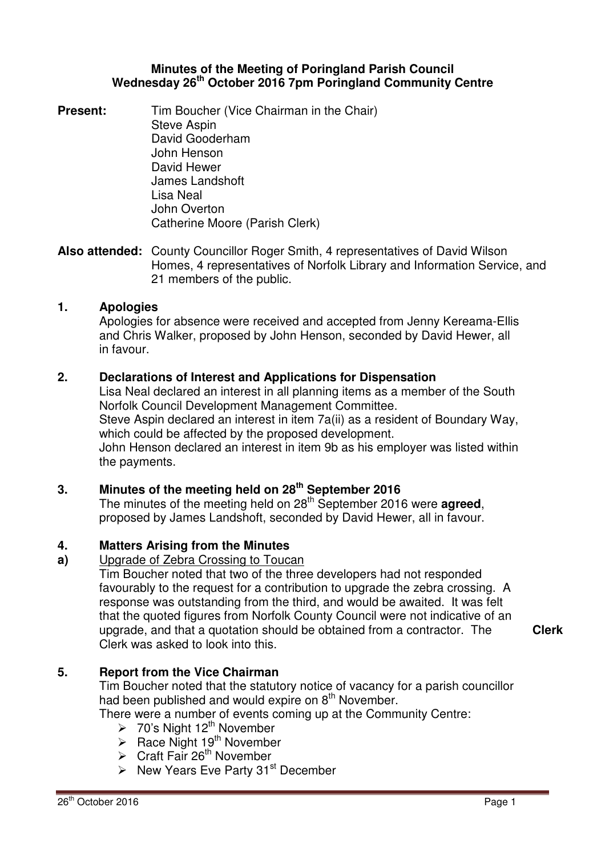### **Minutes of the Meeting of Poringland Parish Council Wednesday 26th October 2016 7pm Poringland Community Centre**

**Present:** Tim Boucher (Vice Chairman in the Chair) Steve Aspin David Gooderham John Henson David Hewer James Landshoft Lisa Neal John Overton Catherine Moore (Parish Clerk)

**Also attended:** County Councillor Roger Smith, 4 representatives of David Wilson Homes, 4 representatives of Norfolk Library and Information Service, and 21 members of the public.

## **1. Apologies**

Apologies for absence were received and accepted from Jenny Kereama-Ellis and Chris Walker, proposed by John Henson, seconded by David Hewer, all in favour.

## **2. Declarations of Interest and Applications for Dispensation**

Lisa Neal declared an interest in all planning items as a member of the South Norfolk Council Development Management Committee. Steve Aspin declared an interest in item 7a(ii) as a resident of Boundary Way, which could be affected by the proposed development. John Henson declared an interest in item 9b as his employer was listed within the payments.

## **3. Minutes of the meeting held on 28 th September 2016**

The minutes of the meeting held on 28<sup>th</sup> September 2016 were **agreed**, proposed by James Landshoft, seconded by David Hewer, all in favour.

## **4. Matters Arising from the Minutes**

**a)** Upgrade of Zebra Crossing to Toucan

Tim Boucher noted that two of the three developers had not responded favourably to the request for a contribution to upgrade the zebra crossing. A response was outstanding from the third, and would be awaited. It was felt that the quoted figures from Norfolk County Council were not indicative of an upgrade, and that a quotation should be obtained from a contractor. The Clerk was asked to look into this.

**Clerk**

## **5. Report from the Vice Chairman**

Tim Boucher noted that the statutory notice of vacancy for a parish councillor had been published and would expire on  $8<sup>th</sup>$  November.

There were a number of events coming up at the Community Centre:

- > 70's Night  $12^{th}$  November
- $\triangleright$  Race Night 19<sup>th</sup> November
- $\triangleright$  Craft Fair 26<sup>th</sup> November
- $\triangleright$  New Years Eve Party 31<sup>st</sup> December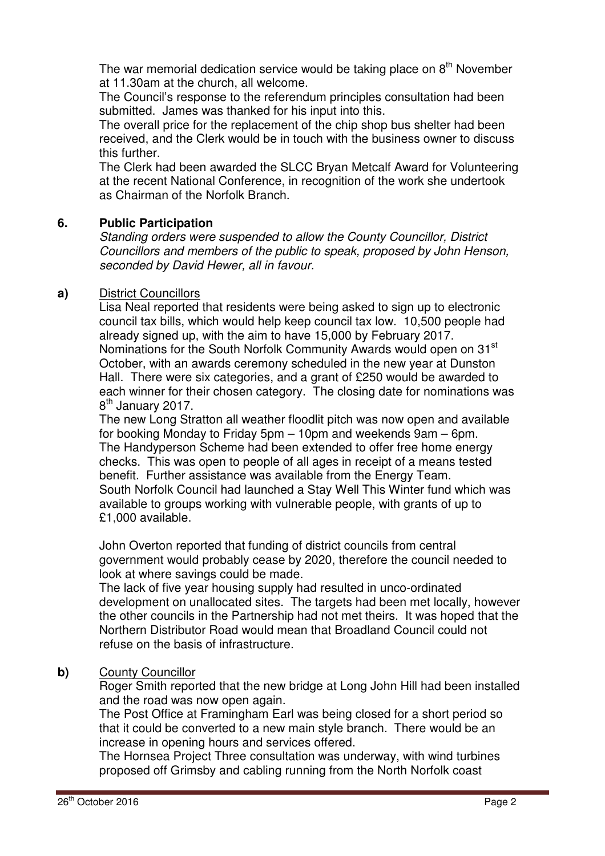The war memorial dedication service would be taking place on  $8<sup>th</sup>$  November at 11.30am at the church, all welcome.

The Council's response to the referendum principles consultation had been submitted. James was thanked for his input into this.

The overall price for the replacement of the chip shop bus shelter had been received, and the Clerk would be in touch with the business owner to discuss this further.

The Clerk had been awarded the SLCC Bryan Metcalf Award for Volunteering at the recent National Conference, in recognition of the work she undertook as Chairman of the Norfolk Branch.

# **6. Public Participation**

Standing orders were suspended to allow the County Councillor, District Councillors and members of the public to speak, proposed by John Henson, seconded by David Hewer, all in favour.

## **a)** District Councillors

Lisa Neal reported that residents were being asked to sign up to electronic council tax bills, which would help keep council tax low. 10,500 people had already signed up, with the aim to have 15,000 by February 2017. Nominations for the South Norfolk Community Awards would open on 31<sup>st</sup> October, with an awards ceremony scheduled in the new year at Dunston Hall. There were six categories, and a grant of £250 would be awarded to each winner for their chosen category. The closing date for nominations was 8<sup>th</sup> January 2017.

The new Long Stratton all weather floodlit pitch was now open and available for booking Monday to Friday 5pm – 10pm and weekends 9am – 6pm. The Handyperson Scheme had been extended to offer free home energy checks. This was open to people of all ages in receipt of a means tested benefit. Further assistance was available from the Energy Team. South Norfolk Council had launched a Stay Well This Winter fund which was available to groups working with vulnerable people, with grants of up to £1,000 available.

John Overton reported that funding of district councils from central government would probably cease by 2020, therefore the council needed to look at where savings could be made.

The lack of five year housing supply had resulted in unco-ordinated development on unallocated sites. The targets had been met locally, however the other councils in the Partnership had not met theirs. It was hoped that the Northern Distributor Road would mean that Broadland Council could not refuse on the basis of infrastructure.

## **b)** County Councillor

Roger Smith reported that the new bridge at Long John Hill had been installed and the road was now open again.

The Post Office at Framingham Earl was being closed for a short period so that it could be converted to a new main style branch. There would be an increase in opening hours and services offered.

The Hornsea Project Three consultation was underway, with wind turbines proposed off Grimsby and cabling running from the North Norfolk coast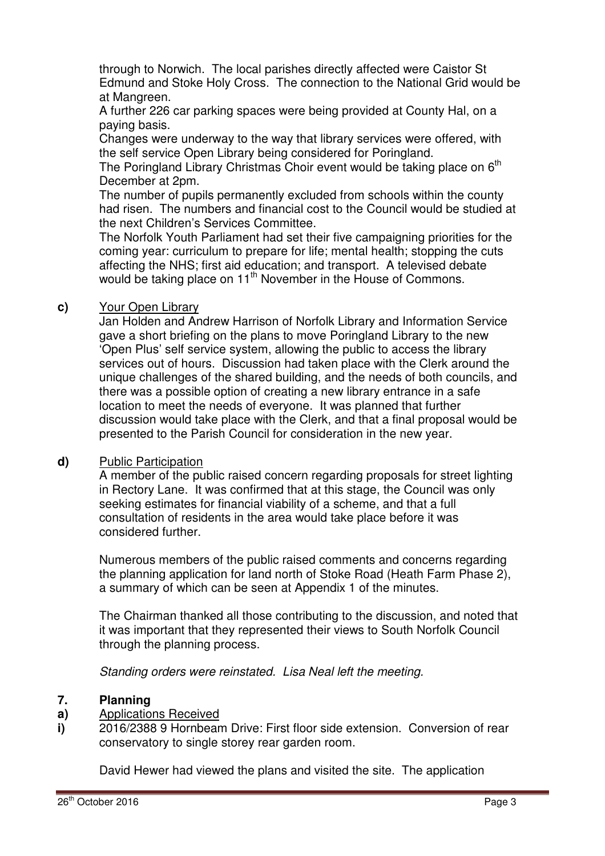through to Norwich. The local parishes directly affected were Caistor St Edmund and Stoke Holy Cross. The connection to the National Grid would be at Mangreen.

A further 226 car parking spaces were being provided at County Hal, on a paying basis.

Changes were underway to the way that library services were offered, with the self service Open Library being considered for Poringland.

The Poringland Library Christmas Choir event would be taking place on 6<sup>th</sup> December at 2pm.

The number of pupils permanently excluded from schools within the county had risen. The numbers and financial cost to the Council would be studied at the next Children's Services Committee.

The Norfolk Youth Parliament had set their five campaigning priorities for the coming year: curriculum to prepare for life; mental health; stopping the cuts affecting the NHS; first aid education; and transport. A televised debate would be taking place on 11<sup>th</sup> November in the House of Commons.

## **c)** Your Open Library

Jan Holden and Andrew Harrison of Norfolk Library and Information Service gave a short briefing on the plans to move Poringland Library to the new 'Open Plus' self service system, allowing the public to access the library services out of hours. Discussion had taken place with the Clerk around the unique challenges of the shared building, and the needs of both councils, and there was a possible option of creating a new library entrance in a safe location to meet the needs of everyone. It was planned that further discussion would take place with the Clerk, and that a final proposal would be presented to the Parish Council for consideration in the new year.

### **d)** Public Participation

A member of the public raised concern regarding proposals for street lighting in Rectory Lane. It was confirmed that at this stage, the Council was only seeking estimates for financial viability of a scheme, and that a full consultation of residents in the area would take place before it was considered further.

Numerous members of the public raised comments and concerns regarding the planning application for land north of Stoke Road (Heath Farm Phase 2), a summary of which can be seen at Appendix 1 of the minutes.

The Chairman thanked all those contributing to the discussion, and noted that it was important that they represented their views to South Norfolk Council through the planning process.

Standing orders were reinstated. Lisa Neal left the meeting.

#### **7. Planning**

#### **a)**  Applications Received

**i)**  2016/2388 9 Hornbeam Drive: First floor side extension. Conversion of rear conservatory to single storey rear garden room.

David Hewer had viewed the plans and visited the site. The application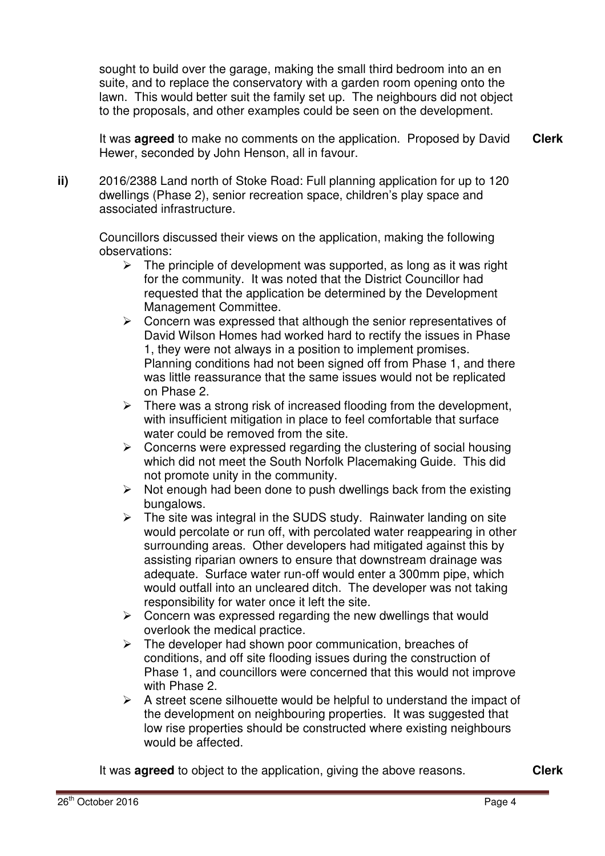sought to build over the garage, making the small third bedroom into an en suite, and to replace the conservatory with a garden room opening onto the lawn. This would better suit the family set up. The neighbours did not object to the proposals, and other examples could be seen on the development.

It was **agreed** to make no comments on the application. Proposed by David Hewer, seconded by John Henson, all in favour. **Clerk**

**ii)** 2016/2388 Land north of Stoke Road: Full planning application for up to 120 dwellings (Phase 2), senior recreation space, children's play space and associated infrastructure.

Councillors discussed their views on the application, making the following observations:

- $\triangleright$  The principle of development was supported, as long as it was right for the community. It was noted that the District Councillor had requested that the application be determined by the Development Management Committee.
- $\triangleright$  Concern was expressed that although the senior representatives of David Wilson Homes had worked hard to rectify the issues in Phase 1, they were not always in a position to implement promises. Planning conditions had not been signed off from Phase 1, and there was little reassurance that the same issues would not be replicated on Phase 2.
- $\triangleright$  There was a strong risk of increased flooding from the development, with insufficient mitigation in place to feel comfortable that surface water could be removed from the site.
- $\triangleright$  Concerns were expressed regarding the clustering of social housing which did not meet the South Norfolk Placemaking Guide. This did not promote unity in the community.
- $\triangleright$  Not enough had been done to push dwellings back from the existing bungalows.
- $\triangleright$  The site was integral in the SUDS study. Rainwater landing on site would percolate or run off, with percolated water reappearing in other surrounding areas. Other developers had mitigated against this by assisting riparian owners to ensure that downstream drainage was adequate. Surface water run-off would enter a 300mm pipe, which would outfall into an uncleared ditch. The developer was not taking responsibility for water once it left the site.
- $\triangleright$  Concern was expressed regarding the new dwellings that would overlook the medical practice.
- $\triangleright$  The developer had shown poor communication, breaches of conditions, and off site flooding issues during the construction of Phase 1, and councillors were concerned that this would not improve with Phase 2.
- $\triangleright$  A street scene silhouette would be helpful to understand the impact of the development on neighbouring properties. It was suggested that low rise properties should be constructed where existing neighbours would be affected.

It was **agreed** to object to the application, giving the above reasons. **Clerk**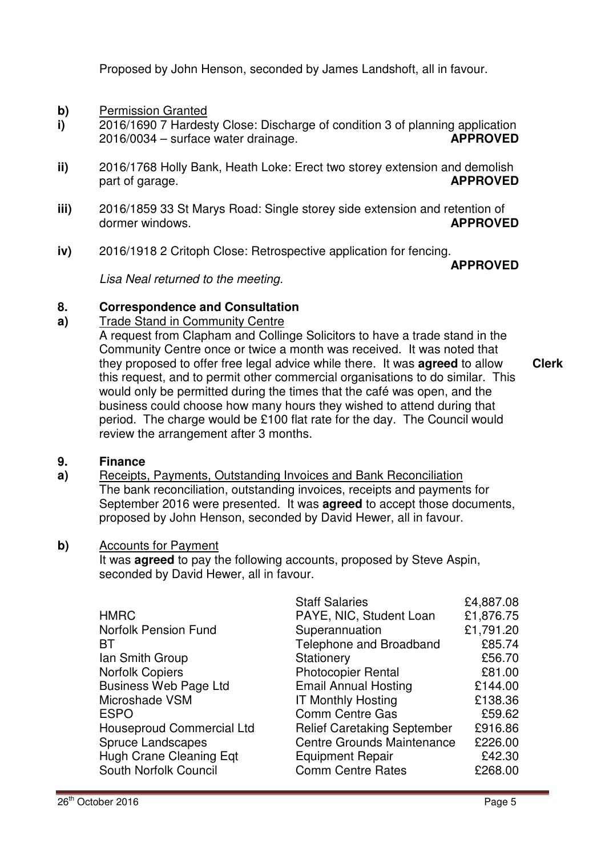Proposed by John Henson, seconded by James Landshoft, all in favour.

- **b)** Permission Granted
- **i)**  2016/1690 7 Hardesty Close: Discharge of condition 3 of planning application 2016/0034 – surface water drainage. **APPROVED**
- **ii)**  2016/1768 Holly Bank, Heath Loke: Erect two storey extension and demolish part of garage. **APPROVED**
- **iii)**  2016/1859 33 St Marys Road: Single storey side extension and retention of dormer windows. **APPROVED**
- **iv)**  2016/1918 2 Critoph Close: Retrospective application for fencing.

**APPROVED** 

Lisa Neal returned to the meeting.

#### **8. Correspondence and Consultation**

#### **a)**  Trade Stand in Community Centre

A request from Clapham and Collinge Solicitors to have a trade stand in the Community Centre once or twice a month was received. It was noted that they proposed to offer free legal advice while there. It was **agreed** to allow this request, and to permit other commercial organisations to do similar. This would only be permitted during the times that the café was open, and the business could choose how many hours they wished to attend during that period. The charge would be £100 flat rate for the day. The Council would review the arrangement after 3 months. **Clerk**

#### **9. Finance**

**a)**  Receipts, Payments, Outstanding Invoices and Bank Reconciliation The bank reconciliation, outstanding invoices, receipts and payments for September 2016 were presented. It was **agreed** to accept those documents, proposed by John Henson, seconded by David Hewer, all in favour.

### **b)** Accounts for Payment

It was **agreed** to pay the following accounts, proposed by Steve Aspin, seconded by David Hewer, all in favour.

|                                  | <b>Staff Salaries</b>              | £4,887.08 |
|----------------------------------|------------------------------------|-----------|
| <b>HMRC</b>                      | PAYE, NIC, Student Loan            | £1,876.75 |
| <b>Norfolk Pension Fund</b>      | Superannuation                     | £1,791.20 |
| BT                               | Telephone and Broadband            | £85.74    |
| Ian Smith Group                  | Stationery                         | £56.70    |
| <b>Norfolk Copiers</b>           | <b>Photocopier Rental</b>          | £81.00    |
| <b>Business Web Page Ltd</b>     | <b>Email Annual Hosting</b>        | £144.00   |
| Microshade VSM                   | <b>IT Monthly Hosting</b>          | £138.36   |
| <b>ESPO</b>                      | <b>Comm Centre Gas</b>             | £59.62    |
| <b>Houseproud Commercial Ltd</b> | <b>Relief Caretaking September</b> | £916.86   |
| Spruce Landscapes                | <b>Centre Grounds Maintenance</b>  | £226.00   |
| Hugh Crane Cleaning Eqt          | <b>Equipment Repair</b>            | £42.30    |
| South Norfolk Council            | <b>Comm Centre Rates</b>           | £268.00   |
|                                  |                                    |           |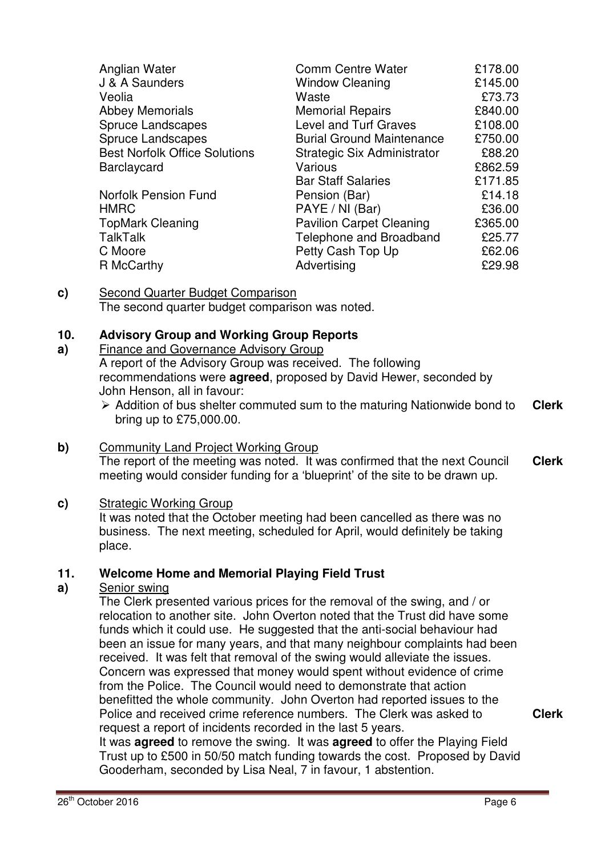| <b>Comm Centre Water</b>         | £178.00 |
|----------------------------------|---------|
| <b>Window Cleaning</b>           | £145.00 |
| Waste                            | £73.73  |
| <b>Memorial Repairs</b>          | £840.00 |
| Level and Turf Graves            | £108.00 |
| <b>Burial Ground Maintenance</b> | £750.00 |
| Strategic Six Administrator      | £88.20  |
| Various                          | £862.59 |
| <b>Bar Staff Salaries</b>        | £171.85 |
| Pension (Bar)                    | £14.18  |
| PAYE / NI (Bar)                  | £36.00  |
| <b>Pavilion Carpet Cleaning</b>  | £365.00 |
| Telephone and Broadband          | £25.77  |
| Petty Cash Top Up                | £62.06  |
| Advertising                      | £29.98  |
|                                  |         |

### **c)** Second Quarter Budget Comparison The second quarter budget comparison was noted.

#### **10. Advisory Group and Working Group Reports**

#### **a)**  Finance and Governance Advisory Group

A report of the Advisory Group was received. The following recommendations were **agreed**, proposed by David Hewer, seconded by John Henson, all in favour:

 $\triangleright$  Addition of bus shelter commuted sum to the maturing Nationwide bond to bring up to £75,000.00. **Clerk**

### **b)** Community Land Project Working Group

The report of the meeting was noted. It was confirmed that the next Council meeting would consider funding for a 'blueprint' of the site to be drawn up. **Clerk**

### **c)** Strategic Working Group

It was noted that the October meeting had been cancelled as there was no business. The next meeting, scheduled for April, would definitely be taking place.

#### **11. Welcome Home and Memorial Playing Field Trust**

#### **a)**  Senior swing

The Clerk presented various prices for the removal of the swing, and / or relocation to another site. John Overton noted that the Trust did have some funds which it could use. He suggested that the anti-social behaviour had been an issue for many years, and that many neighbour complaints had been received. It was felt that removal of the swing would alleviate the issues. Concern was expressed that money would spent without evidence of crime from the Police. The Council would need to demonstrate that action benefitted the whole community. John Overton had reported issues to the Police and received crime reference numbers. The Clerk was asked to request a report of incidents recorded in the last 5 years.

It was **agreed** to remove the swing. It was **agreed** to offer the Playing Field Trust up to £500 in 50/50 match funding towards the cost. Proposed by David Gooderham, seconded by Lisa Neal, 7 in favour, 1 abstention.

**Clerk**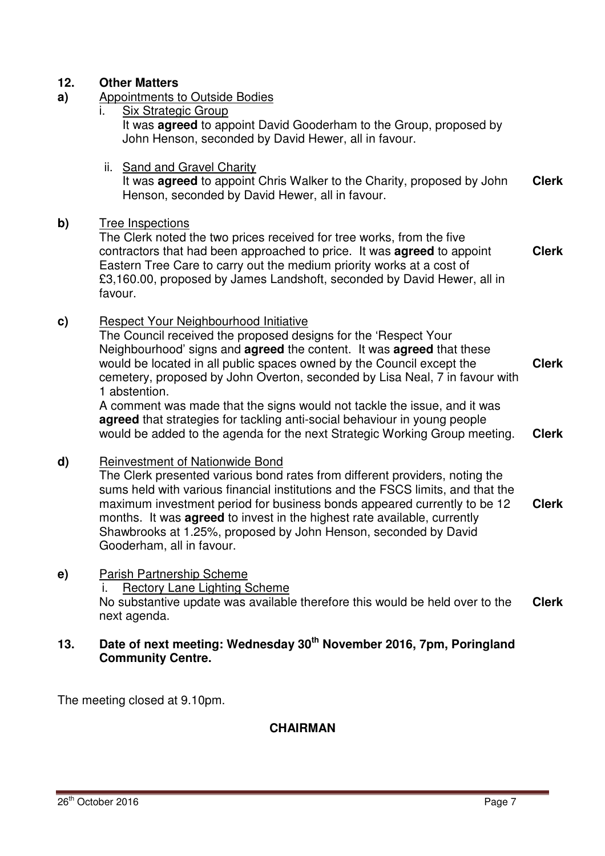## **12. Other Matters**

- **a)** Appointments to Outside Bodies
	- Six Strategic Group It was **agreed** to appoint David Gooderham to the Group, proposed by John Henson, seconded by David Hewer, all in favour.
	- ii. Sand and Gravel Charity It was **agreed** to appoint Chris Walker to the Charity, proposed by John Henson, seconded by David Hewer, all in favour. **Clerk**

### **b)** Tree Inspections

The Clerk noted the two prices received for tree works, from the five contractors that had been approached to price. It was **agreed** to appoint Eastern Tree Care to carry out the medium priority works at a cost of £3,160.00, proposed by James Landshoft, seconded by David Hewer, all in favour. **Clerk**

**c)** Respect Your Neighbourhood Initiative

The Council received the proposed designs for the 'Respect Your Neighbourhood' signs and **agreed** the content. It was **agreed** that these would be located in all public spaces owned by the Council except the cemetery, proposed by John Overton, seconded by Lisa Neal, 7 in favour with 1 abstention. **Clerk**

A comment was made that the signs would not tackle the issue, and it was **agreed** that strategies for tackling anti-social behaviour in young people would be added to the agenda for the next Strategic Working Group meeting. **Clerk**

### **d)** Reinvestment of Nationwide Bond

The Clerk presented various bond rates from different providers, noting the sums held with various financial institutions and the FSCS limits, and that the maximum investment period for business bonds appeared currently to be 12 months. It was **agreed** to invest in the highest rate available, currently Shawbrooks at 1.25%, proposed by John Henson, seconded by David Gooderham, all in favour. **Clerk**

**e)** Parish Partnership Scheme

i. Rectory Lane Lighting Scheme

No substantive update was available therefore this would be held over to the next agenda. **Clerk**

## **13. Date of next meeting: Wednesday 30th November 2016, 7pm, Poringland Community Centre.**

The meeting closed at 9.10pm.

### **CHAIRMAN**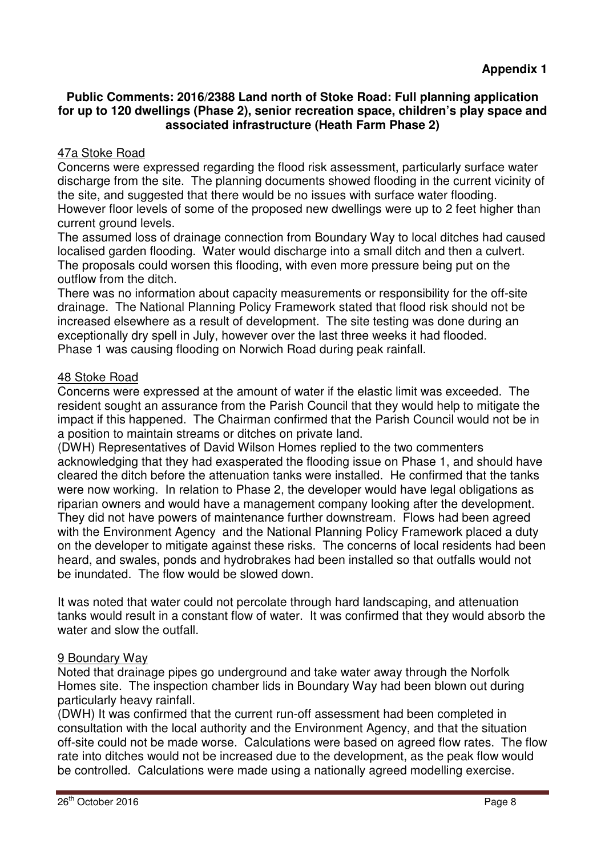## **Public Comments: 2016/2388 Land north of Stoke Road: Full planning application for up to 120 dwellings (Phase 2), senior recreation space, children's play space and associated infrastructure (Heath Farm Phase 2)**

# 47a Stoke Road

Concerns were expressed regarding the flood risk assessment, particularly surface water discharge from the site. The planning documents showed flooding in the current vicinity of the site, and suggested that there would be no issues with surface water flooding. However floor levels of some of the proposed new dwellings were up to 2 feet higher than current ground levels.

The assumed loss of drainage connection from Boundary Way to local ditches had caused localised garden flooding. Water would discharge into a small ditch and then a culvert. The proposals could worsen this flooding, with even more pressure being put on the outflow from the ditch.

There was no information about capacity measurements or responsibility for the off-site drainage. The National Planning Policy Framework stated that flood risk should not be increased elsewhere as a result of development. The site testing was done during an exceptionally dry spell in July, however over the last three weeks it had flooded. Phase 1 was causing flooding on Norwich Road during peak rainfall.

## 48 Stoke Road

Concerns were expressed at the amount of water if the elastic limit was exceeded. The resident sought an assurance from the Parish Council that they would help to mitigate the impact if this happened. The Chairman confirmed that the Parish Council would not be in a position to maintain streams or ditches on private land.

(DWH) Representatives of David Wilson Homes replied to the two commenters acknowledging that they had exasperated the flooding issue on Phase 1, and should have cleared the ditch before the attenuation tanks were installed. He confirmed that the tanks were now working. In relation to Phase 2, the developer would have legal obligations as riparian owners and would have a management company looking after the development. They did not have powers of maintenance further downstream. Flows had been agreed with the Environment Agency and the National Planning Policy Framework placed a duty on the developer to mitigate against these risks. The concerns of local residents had been heard, and swales, ponds and hydrobrakes had been installed so that outfalls would not be inundated. The flow would be slowed down.

It was noted that water could not percolate through hard landscaping, and attenuation tanks would result in a constant flow of water. It was confirmed that they would absorb the water and slow the outfall.

## 9 Boundary Way

Noted that drainage pipes go underground and take water away through the Norfolk Homes site. The inspection chamber lids in Boundary Way had been blown out during particularly heavy rainfall.

(DWH) It was confirmed that the current run-off assessment had been completed in consultation with the local authority and the Environment Agency, and that the situation off-site could not be made worse. Calculations were based on agreed flow rates. The flow rate into ditches would not be increased due to the development, as the peak flow would be controlled. Calculations were made using a nationally agreed modelling exercise.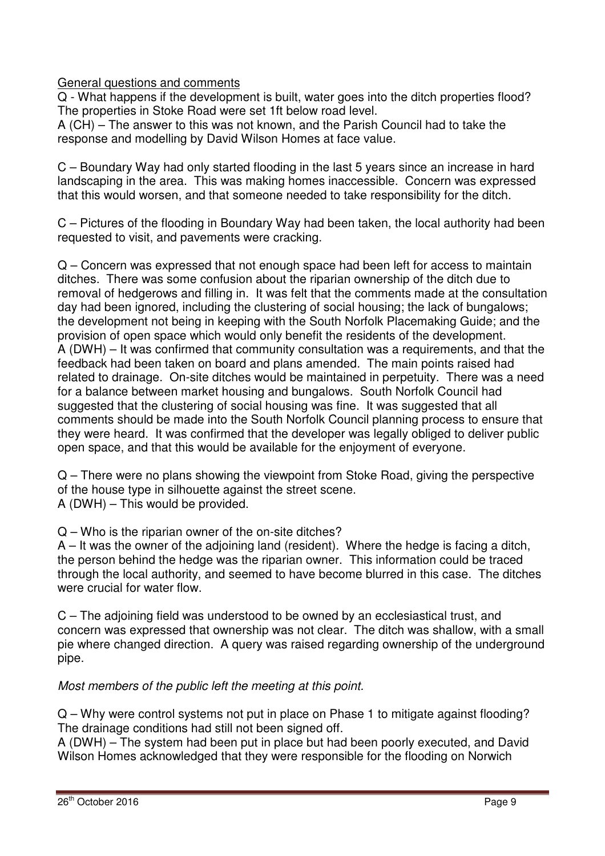General questions and comments

Q - What happens if the development is built, water goes into the ditch properties flood? The properties in Stoke Road were set 1ft below road level.

A (CH) – The answer to this was not known, and the Parish Council had to take the response and modelling by David Wilson Homes at face value.

C – Boundary Way had only started flooding in the last 5 years since an increase in hard landscaping in the area. This was making homes inaccessible. Concern was expressed that this would worsen, and that someone needed to take responsibility for the ditch.

C – Pictures of the flooding in Boundary Way had been taken, the local authority had been requested to visit, and pavements were cracking.

Q – Concern was expressed that not enough space had been left for access to maintain ditches. There was some confusion about the riparian ownership of the ditch due to removal of hedgerows and filling in. It was felt that the comments made at the consultation day had been ignored, including the clustering of social housing; the lack of bungalows; the development not being in keeping with the South Norfolk Placemaking Guide; and the provision of open space which would only benefit the residents of the development. A (DWH) – It was confirmed that community consultation was a requirements, and that the feedback had been taken on board and plans amended. The main points raised had related to drainage. On-site ditches would be maintained in perpetuity. There was a need for a balance between market housing and bungalows. South Norfolk Council had suggested that the clustering of social housing was fine. It was suggested that all comments should be made into the South Norfolk Council planning process to ensure that they were heard. It was confirmed that the developer was legally obliged to deliver public open space, and that this would be available for the enjoyment of everyone.

Q – There were no plans showing the viewpoint from Stoke Road, giving the perspective of the house type in silhouette against the street scene. A (DWH) – This would be provided.

Q – Who is the riparian owner of the on-site ditches?

A – It was the owner of the adjoining land (resident). Where the hedge is facing a ditch, the person behind the hedge was the riparian owner. This information could be traced through the local authority, and seemed to have become blurred in this case. The ditches were crucial for water flow.

C – The adjoining field was understood to be owned by an ecclesiastical trust, and concern was expressed that ownership was not clear. The ditch was shallow, with a small pie where changed direction. A query was raised regarding ownership of the underground pipe.

Most members of the public left the meeting at this point.

Q – Why were control systems not put in place on Phase 1 to mitigate against flooding? The drainage conditions had still not been signed off.

A (DWH) – The system had been put in place but had been poorly executed, and David Wilson Homes acknowledged that they were responsible for the flooding on Norwich